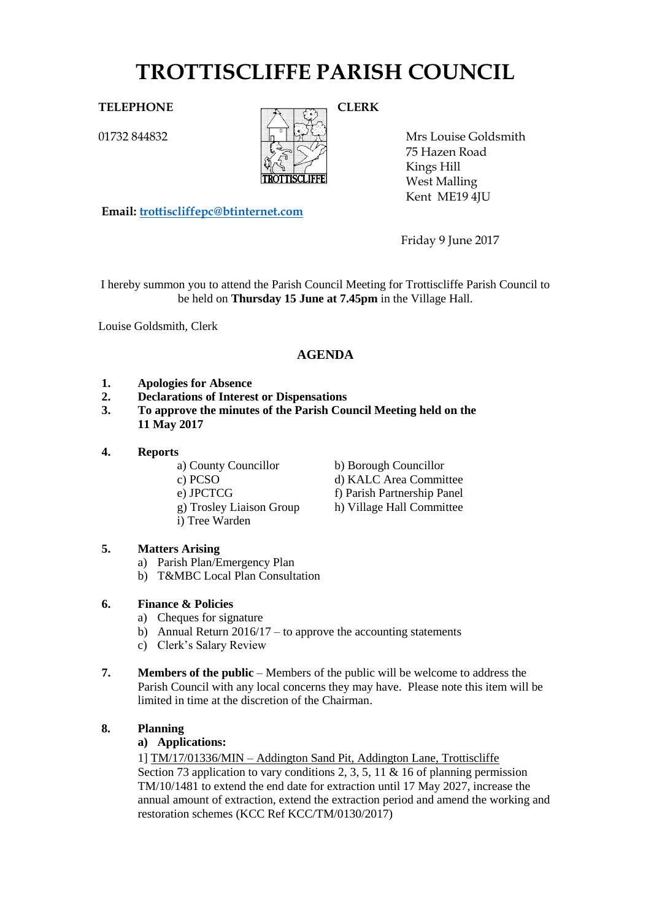# **TROTTISCLIFFE PARISH COUNCIL**

01732 844832



Mrs Louise Goldsmith 75 Hazen Road Kings Hill West Malling Kent ME19 4JU

**Email: [trottiscliffepc@btinternet.com](mailto:trottiscliffepc@btinternet.com)**

Friday 9 June 2017

I hereby summon you to attend the Parish Council Meeting for Trottiscliffe Parish Council to be held on **Thursday 15 June at 7.45pm** in the Village Hall.

Louise Goldsmith, Clerk

# **AGENDA**

- **1. Apologies for Absence**
- **2. Declarations of Interest or Dispensations**
- **3. To approve the minutes of the Parish Council Meeting held on the 11 May 2017**
- **4. Reports**
	-
	-
	-
	-
	- i) Tree Warden
- **5. Matters Arising** 
	- a) Parish Plan/Emergency Plan
	- b) T&MBC Local Plan Consultation

# **6. Finance & Policies**

- a) Cheques for signature
- b) Annual Return  $2016/17$  to approve the accounting statements
- c) Clerk's Salary Review
- **7. Members of the public** Members of the public will be welcome to address the Parish Council with any local concerns they may have. Please note this item will be limited in time at the discretion of the Chairman.

# **8. Planning**

# **a) Applications:**

1] TM/17/01336/MIN – Addington Sand Pit, Addington Lane, Trottiscliffe Section 73 application to vary conditions 2, 3, 5, 11  $\&$  16 of planning permission TM/10/1481 to extend the end date for extraction until 17 May 2027, increase the annual amount of extraction, extend the extraction period and amend the working and restoration schemes (KCC Ref KCC/TM/0130/2017)

- a) County Councillor b) Borough Councillor
- c) PCSO d) KALC Area Committee
- e) JPCTCG f) Parish Partnership Panel
- g) Trosley Liaison Group h) Village Hall Committee